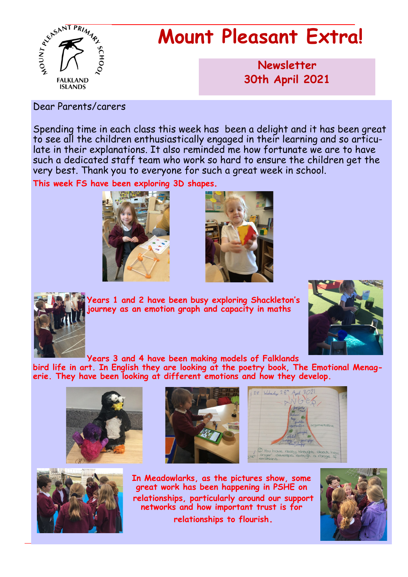

# **Mount Pleasant Extra!**

**Newsletter now 30th April 2021**

#### Dear Parents/carers

Spending time in each class this week has been a delight and it has been great to see all the children enthusiastically engaged in their learning and so articulate in their explanations. It also reminded me how fortunate we are to have such a dedicated staff team who work so hard to ensure the children get the very best. Thank you to everyone for such a great week in school.

**This week FS have been exploring 3D shapes.**







**Years 1 and 2 have been busy exploring Shackleton's journey as an emotion graph and capacity in maths**



**Years 3 and 4 have been making models of Falklands** 

**bird life in art. In English they are looking at the poetry book, The Emotional Menagerie. They have been looking at different emotions and how they develop.**









**In Meadowlarks, as the pictures show, some great work has been happening in PSHE on relationships, particularly around our support networks and how important trust is for**

**relationships to flourish.**